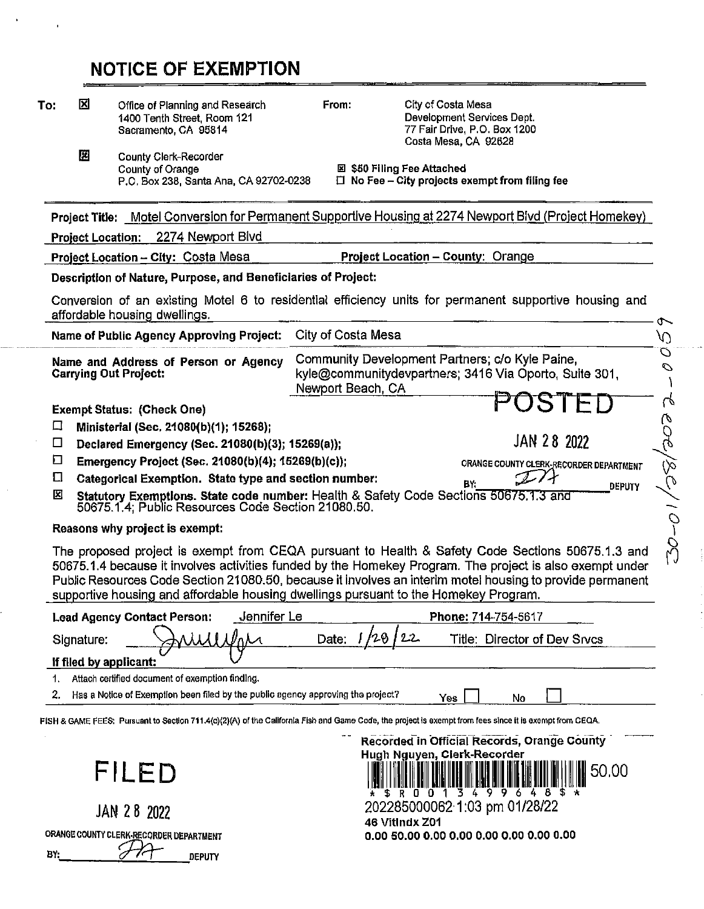## NOTICE OF EXEMPTION

| ⊠<br>City of Costa Mesa<br>Office of Planning and Research<br>From:<br>To:<br>Development Services Dept.<br>1400 Tenth Street, Room 121<br>77 Fair Drive, P.O. Box 1200<br>Sacramento, CA 95814<br>Costa Mesa, CA 92628<br>囮<br><b>County Clerk-Recorder</b><br>図 \$50 Filing Fee Attached<br>County of Orange<br>$\Box$ No Fee - City projects exempt from filing fee<br>P.O. Box 238, Santa Ana, CA 92702-0238<br>Project Title: Motel Conversion for Permanent Supportive Housing at 2274 Newport Blvd (Project Homekey)<br>2274 Newport Bivd<br><b>Project Location:</b><br>Project Location - City: Costa Mesa<br><b>Project Location - County: Orange</b><br>Description of Nature, Purpose, and Beneficiaries of Project:<br>Conversion of an existing Motel 6 to residential efficiency units for permanent supportive housing and<br>affordable housing dwellings.<br>City of Costa Mesa<br>Name of Public Agency Approving Project:<br>Community Development Partners; c/o Kyle Paine,<br>Name and Address of Person or Agency<br>kyle@communitydevpartners; 3416 Via Oporto, Suite 301,<br><b>Carrying Out Project:</b><br>Newport Beach, CA<br><b>Exempt Status: (Check One)</b><br>口<br>Ministerial (Sec. 21080(b)(1); 15268);<br>JAN 28 2022<br>□<br>Declared Emergency (Sec. 21080(b)(3); 15269(a));<br>口<br>Emergency Project (Sec. 21080(b)(4); 15269(b)(c));<br>ORANGE COUNTY CLERK-RECORDER DEPARTMENT<br>Ω<br>Categorical Exemption. State type and section number:<br>BY:<br>DEPUTY<br>×<br>Statutory Exemptions. State code number: Health & Safety Code Sections 50675.1.3 and<br>50675.1.4; Public Resources Code Section 21080.50.<br>Reasons why project is exempt:<br>The proposed project is exempt from CEQA pursuant to Health & Safety Code Sections 50675.1.3 and<br>50675.1.4 because it involves activities funded by the Homekey Program. The project is also exempt under<br>Public Resources Code Section 21080.50, because it involves an interim motel housing to provide permanent<br>supportive housing and affordable housing dwellings pursuant to the Homekey Program.<br><b>Lead Agency Contact Person:</b><br>Jennifer Le<br>Phone: 714-754-5617<br>29<br>22<br>Date:<br>Title: Director of Dev Srvcs<br>Signature:<br>If filed by applicant:<br>Attach certified document of exemption finding.<br>Has a Notice of Exemption been filed by the public agency approving the project?<br>2.<br>Yes<br>No<br>FISH & GAME FEES: Pursuant to Section 711.4(c)(2)(A) of the California Fish and Game Code, the project is exempt from fees since it is exempt from CEQA.<br>Recorded in Official Records, Orange County<br>Hugh Nguyen, Clerk-Recorder<br>FILED<br>50.00<br>S R O O<br>$\mathfrak{p}$<br>202285000062 1:03 pm 01/28/22<br>JAN 28 2022<br>46 Vitindx Z01<br>ORANGE COUNTY CLERK-RECORDER DEPARTMENT |  |  |  |  |  |             |  |  |  |
|-------------------------------------------------------------------------------------------------------------------------------------------------------------------------------------------------------------------------------------------------------------------------------------------------------------------------------------------------------------------------------------------------------------------------------------------------------------------------------------------------------------------------------------------------------------------------------------------------------------------------------------------------------------------------------------------------------------------------------------------------------------------------------------------------------------------------------------------------------------------------------------------------------------------------------------------------------------------------------------------------------------------------------------------------------------------------------------------------------------------------------------------------------------------------------------------------------------------------------------------------------------------------------------------------------------------------------------------------------------------------------------------------------------------------------------------------------------------------------------------------------------------------------------------------------------------------------------------------------------------------------------------------------------------------------------------------------------------------------------------------------------------------------------------------------------------------------------------------------------------------------------------------------------------------------------------------------------------------------------------------------------------------------------------------------------------------------------------------------------------------------------------------------------------------------------------------------------------------------------------------------------------------------------------------------------------------------------------------------------------------------------------------------------------------------------------------------------------------------------------------------------------------------------------------------------------------------------------------------------------------------------------------------------------------------------------------------------------------------------------------------------------------------------------------------------------------------------------------------------|--|--|--|--|--|-------------|--|--|--|
|                                                                                                                                                                                                                                                                                                                                                                                                                                                                                                                                                                                                                                                                                                                                                                                                                                                                                                                                                                                                                                                                                                                                                                                                                                                                                                                                                                                                                                                                                                                                                                                                                                                                                                                                                                                                                                                                                                                                                                                                                                                                                                                                                                                                                                                                                                                                                                                                                                                                                                                                                                                                                                                                                                                                                                                                                                                             |  |  |  |  |  |             |  |  |  |
|                                                                                                                                                                                                                                                                                                                                                                                                                                                                                                                                                                                                                                                                                                                                                                                                                                                                                                                                                                                                                                                                                                                                                                                                                                                                                                                                                                                                                                                                                                                                                                                                                                                                                                                                                                                                                                                                                                                                                                                                                                                                                                                                                                                                                                                                                                                                                                                                                                                                                                                                                                                                                                                                                                                                                                                                                                                             |  |  |  |  |  |             |  |  |  |
|                                                                                                                                                                                                                                                                                                                                                                                                                                                                                                                                                                                                                                                                                                                                                                                                                                                                                                                                                                                                                                                                                                                                                                                                                                                                                                                                                                                                                                                                                                                                                                                                                                                                                                                                                                                                                                                                                                                                                                                                                                                                                                                                                                                                                                                                                                                                                                                                                                                                                                                                                                                                                                                                                                                                                                                                                                                             |  |  |  |  |  |             |  |  |  |
|                                                                                                                                                                                                                                                                                                                                                                                                                                                                                                                                                                                                                                                                                                                                                                                                                                                                                                                                                                                                                                                                                                                                                                                                                                                                                                                                                                                                                                                                                                                                                                                                                                                                                                                                                                                                                                                                                                                                                                                                                                                                                                                                                                                                                                                                                                                                                                                                                                                                                                                                                                                                                                                                                                                                                                                                                                                             |  |  |  |  |  |             |  |  |  |
|                                                                                                                                                                                                                                                                                                                                                                                                                                                                                                                                                                                                                                                                                                                                                                                                                                                                                                                                                                                                                                                                                                                                                                                                                                                                                                                                                                                                                                                                                                                                                                                                                                                                                                                                                                                                                                                                                                                                                                                                                                                                                                                                                                                                                                                                                                                                                                                                                                                                                                                                                                                                                                                                                                                                                                                                                                                             |  |  |  |  |  |             |  |  |  |
|                                                                                                                                                                                                                                                                                                                                                                                                                                                                                                                                                                                                                                                                                                                                                                                                                                                                                                                                                                                                                                                                                                                                                                                                                                                                                                                                                                                                                                                                                                                                                                                                                                                                                                                                                                                                                                                                                                                                                                                                                                                                                                                                                                                                                                                                                                                                                                                                                                                                                                                                                                                                                                                                                                                                                                                                                                                             |  |  |  |  |  |             |  |  |  |
|                                                                                                                                                                                                                                                                                                                                                                                                                                                                                                                                                                                                                                                                                                                                                                                                                                                                                                                                                                                                                                                                                                                                                                                                                                                                                                                                                                                                                                                                                                                                                                                                                                                                                                                                                                                                                                                                                                                                                                                                                                                                                                                                                                                                                                                                                                                                                                                                                                                                                                                                                                                                                                                                                                                                                                                                                                                             |  |  |  |  |  | ↶<br>N)     |  |  |  |
|                                                                                                                                                                                                                                                                                                                                                                                                                                                                                                                                                                                                                                                                                                                                                                                                                                                                                                                                                                                                                                                                                                                                                                                                                                                                                                                                                                                                                                                                                                                                                                                                                                                                                                                                                                                                                                                                                                                                                                                                                                                                                                                                                                                                                                                                                                                                                                                                                                                                                                                                                                                                                                                                                                                                                                                                                                                             |  |  |  |  |  | Ó<br>Ó      |  |  |  |
|                                                                                                                                                                                                                                                                                                                                                                                                                                                                                                                                                                                                                                                                                                                                                                                                                                                                                                                                                                                                                                                                                                                                                                                                                                                                                                                                                                                                                                                                                                                                                                                                                                                                                                                                                                                                                                                                                                                                                                                                                                                                                                                                                                                                                                                                                                                                                                                                                                                                                                                                                                                                                                                                                                                                                                                                                                                             |  |  |  |  |  | n           |  |  |  |
|                                                                                                                                                                                                                                                                                                                                                                                                                                                                                                                                                                                                                                                                                                                                                                                                                                                                                                                                                                                                                                                                                                                                                                                                                                                                                                                                                                                                                                                                                                                                                                                                                                                                                                                                                                                                                                                                                                                                                                                                                                                                                                                                                                                                                                                                                                                                                                                                                                                                                                                                                                                                                                                                                                                                                                                                                                                             |  |  |  |  |  | V           |  |  |  |
|                                                                                                                                                                                                                                                                                                                                                                                                                                                                                                                                                                                                                                                                                                                                                                                                                                                                                                                                                                                                                                                                                                                                                                                                                                                                                                                                                                                                                                                                                                                                                                                                                                                                                                                                                                                                                                                                                                                                                                                                                                                                                                                                                                                                                                                                                                                                                                                                                                                                                                                                                                                                                                                                                                                                                                                                                                                             |  |  |  |  |  | 9           |  |  |  |
|                                                                                                                                                                                                                                                                                                                                                                                                                                                                                                                                                                                                                                                                                                                                                                                                                                                                                                                                                                                                                                                                                                                                                                                                                                                                                                                                                                                                                                                                                                                                                                                                                                                                                                                                                                                                                                                                                                                                                                                                                                                                                                                                                                                                                                                                                                                                                                                                                                                                                                                                                                                                                                                                                                                                                                                                                                                             |  |  |  |  |  | (∕১         |  |  |  |
|                                                                                                                                                                                                                                                                                                                                                                                                                                                                                                                                                                                                                                                                                                                                                                                                                                                                                                                                                                                                                                                                                                                                                                                                                                                                                                                                                                                                                                                                                                                                                                                                                                                                                                                                                                                                                                                                                                                                                                                                                                                                                                                                                                                                                                                                                                                                                                                                                                                                                                                                                                                                                                                                                                                                                                                                                                                             |  |  |  |  |  | Q           |  |  |  |
|                                                                                                                                                                                                                                                                                                                                                                                                                                                                                                                                                                                                                                                                                                                                                                                                                                                                                                                                                                                                                                                                                                                                                                                                                                                                                                                                                                                                                                                                                                                                                                                                                                                                                                                                                                                                                                                                                                                                                                                                                                                                                                                                                                                                                                                                                                                                                                                                                                                                                                                                                                                                                                                                                                                                                                                                                                                             |  |  |  |  |  |             |  |  |  |
|                                                                                                                                                                                                                                                                                                                                                                                                                                                                                                                                                                                                                                                                                                                                                                                                                                                                                                                                                                                                                                                                                                                                                                                                                                                                                                                                                                                                                                                                                                                                                                                                                                                                                                                                                                                                                                                                                                                                                                                                                                                                                                                                                                                                                                                                                                                                                                                                                                                                                                                                                                                                                                                                                                                                                                                                                                                             |  |  |  |  |  | <b>D-05</b> |  |  |  |
|                                                                                                                                                                                                                                                                                                                                                                                                                                                                                                                                                                                                                                                                                                                                                                                                                                                                                                                                                                                                                                                                                                                                                                                                                                                                                                                                                                                                                                                                                                                                                                                                                                                                                                                                                                                                                                                                                                                                                                                                                                                                                                                                                                                                                                                                                                                                                                                                                                                                                                                                                                                                                                                                                                                                                                                                                                                             |  |  |  |  |  |             |  |  |  |
|                                                                                                                                                                                                                                                                                                                                                                                                                                                                                                                                                                                                                                                                                                                                                                                                                                                                                                                                                                                                                                                                                                                                                                                                                                                                                                                                                                                                                                                                                                                                                                                                                                                                                                                                                                                                                                                                                                                                                                                                                                                                                                                                                                                                                                                                                                                                                                                                                                                                                                                                                                                                                                                                                                                                                                                                                                                             |  |  |  |  |  |             |  |  |  |
|                                                                                                                                                                                                                                                                                                                                                                                                                                                                                                                                                                                                                                                                                                                                                                                                                                                                                                                                                                                                                                                                                                                                                                                                                                                                                                                                                                                                                                                                                                                                                                                                                                                                                                                                                                                                                                                                                                                                                                                                                                                                                                                                                                                                                                                                                                                                                                                                                                                                                                                                                                                                                                                                                                                                                                                                                                                             |  |  |  |  |  |             |  |  |  |
|                                                                                                                                                                                                                                                                                                                                                                                                                                                                                                                                                                                                                                                                                                                                                                                                                                                                                                                                                                                                                                                                                                                                                                                                                                                                                                                                                                                                                                                                                                                                                                                                                                                                                                                                                                                                                                                                                                                                                                                                                                                                                                                                                                                                                                                                                                                                                                                                                                                                                                                                                                                                                                                                                                                                                                                                                                                             |  |  |  |  |  |             |  |  |  |
|                                                                                                                                                                                                                                                                                                                                                                                                                                                                                                                                                                                                                                                                                                                                                                                                                                                                                                                                                                                                                                                                                                                                                                                                                                                                                                                                                                                                                                                                                                                                                                                                                                                                                                                                                                                                                                                                                                                                                                                                                                                                                                                                                                                                                                                                                                                                                                                                                                                                                                                                                                                                                                                                                                                                                                                                                                                             |  |  |  |  |  |             |  |  |  |
|                                                                                                                                                                                                                                                                                                                                                                                                                                                                                                                                                                                                                                                                                                                                                                                                                                                                                                                                                                                                                                                                                                                                                                                                                                                                                                                                                                                                                                                                                                                                                                                                                                                                                                                                                                                                                                                                                                                                                                                                                                                                                                                                                                                                                                                                                                                                                                                                                                                                                                                                                                                                                                                                                                                                                                                                                                                             |  |  |  |  |  |             |  |  |  |
|                                                                                                                                                                                                                                                                                                                                                                                                                                                                                                                                                                                                                                                                                                                                                                                                                                                                                                                                                                                                                                                                                                                                                                                                                                                                                                                                                                                                                                                                                                                                                                                                                                                                                                                                                                                                                                                                                                                                                                                                                                                                                                                                                                                                                                                                                                                                                                                                                                                                                                                                                                                                                                                                                                                                                                                                                                                             |  |  |  |  |  |             |  |  |  |
| BY:<br><b>DEPUTY</b>                                                                                                                                                                                                                                                                                                                                                                                                                                                                                                                                                                                                                                                                                                                                                                                                                                                                                                                                                                                                                                                                                                                                                                                                                                                                                                                                                                                                                                                                                                                                                                                                                                                                                                                                                                                                                                                                                                                                                                                                                                                                                                                                                                                                                                                                                                                                                                                                                                                                                                                                                                                                                                                                                                                                                                                                                                        |  |  |  |  |  |             |  |  |  |